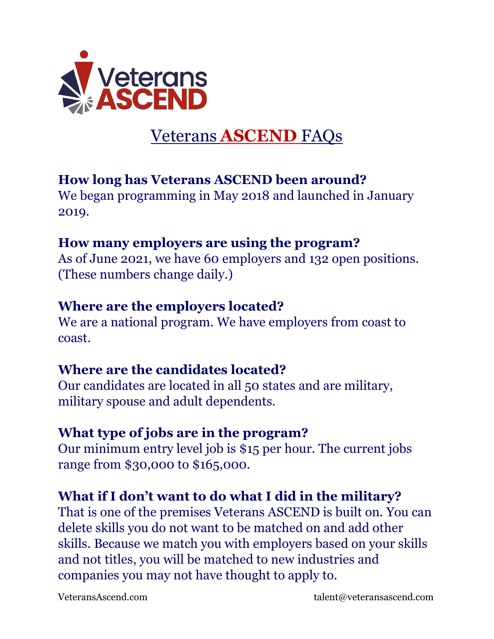

# Veterans **ASCEND** FAQs

## **How long has Veterans ASCEND been around?**

We began programming in May 2018 and launched in January 2019.

#### **How many employers are using the program?**

As of June 2021, we have 60 employers and 132 open positions. (These numbers change daily.)

#### **Where are the employers located?**

We are a national program. We have employers from coast to coast.

## **Where are the candidates located?**

Our candidates are located in all 50 states and are military, military spouse and adult dependents.

#### **What type of jobs are in the program?**

Our minimum entry level job is \$15 per hour. The current jobs range from \$30,000 to \$165,000.

## **What if I don't want to do what I did in the military?**

That is one of the premises Veterans ASCEND is built on. You can delete skills you do not want to be matched on and add other skills. Because we match you with employers based on your skills and not titles, you will be matched to new industries and companies you may not have thought to apply to.

VeteransAscend.com talent@veteransascend.com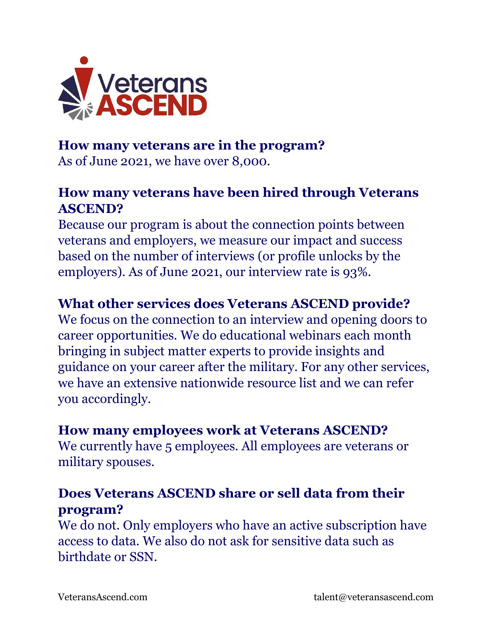

#### **How many veterans are in the program?**

As of June 2021, we have over 8,000.

## **How many veterans have been hired through Veterans ASCEND?**

Because our program is about the connection points between veterans and employers, we measure our impact and success based on the number of interviews (or profile unlocks by the employers). As of June 2021, our interview rate is 93%.

# **What other services does Veterans ASCEND provide?**

We focus on the connection to an interview and opening doors to career opportunities. We do educational webinars each month bringing in subject matter experts to provide insights and guidance on your career after the military. For any other services, we have an extensive nationwide resource list and we can refer you accordingly.

#### **How many employees work at Veterans ASCEND?**

We currently have 5 employees. All employees are veterans or military spouses.

## **Does Veterans ASCEND share or sell data from their program?**

We do not. Only employers who have an active subscription have access to data. We also do not ask for sensitive data such as birthdate or SSN.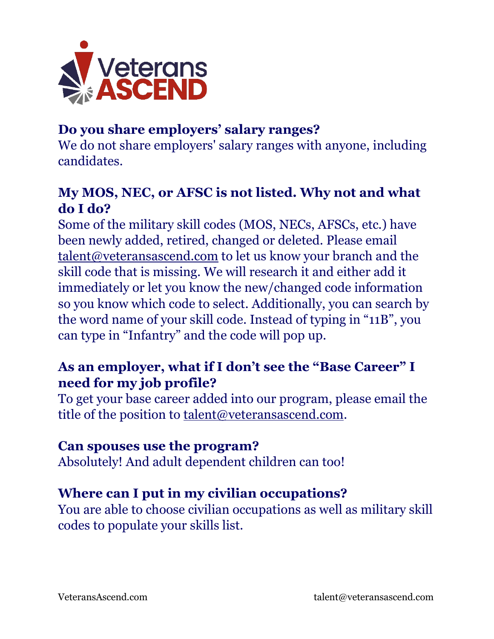

# **Do you share employers' salary ranges?**

We do not share employers' salary ranges with anyone, including candidates.

## **My MOS, NEC, or AFSC is not listed. Why not and what do I do?**

Some of the military skill codes (MOS, NECs, AFSCs, etc.) have been newly added, retired, changed or deleted. Please email [talent@veteransascend.com](mailto:talent@veteransascend.com) to let us know your branch and the skill code that is missing. We will research it and either add it immediately or let you know the new/changed code information so you know which code to select. Additionally, you can search by the word name of your skill code. Instead of typing in "11B", you can type in "Infantry" and the code will pop up.

## **As an employer, what if I don't see the "Base Career" I need for my job profile?**

To get your base career added into our program, please email the title of the position to **talent@veteransascend.com**.

#### **Can spouses use the program?**

Absolutely! And adult dependent children can too!

## **Where can I put in my civilian occupations?**

You are able to choose civilian occupations as well as military skill codes to populate your skills list.